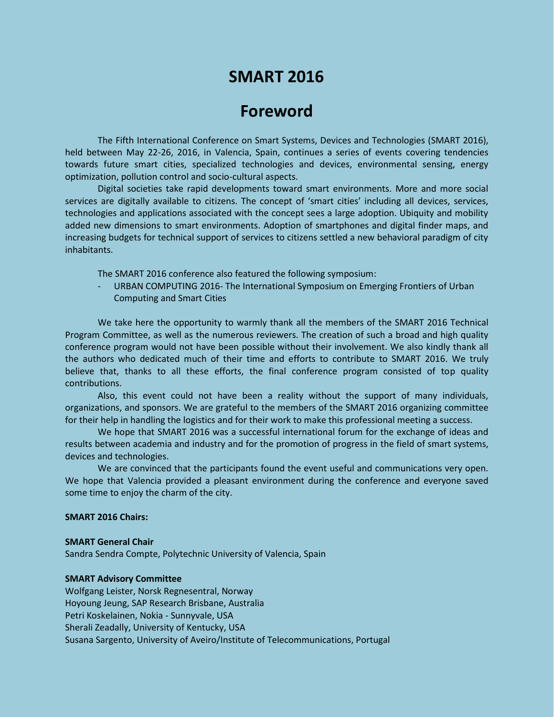# **SMART 2016**

## **Foreword**

The Fifth International Conference on Smart Systems, Devices and Technologies (SMART 2016), held between May 22-26, 2016, in Valencia, Spain, continues a series of events covering tendencies towards future smart cities, specialized technologies and devices, environmental sensing, energy optimization, pollution control and socio-cultural aspects.

Digital societies take rapid developments toward smart environments. More and more social services are digitally available to citizens. The concept of 'smart cities' including all devices, services, technologies and applications associated with the concept sees a large adoption. Ubiquity and mobility added new dimensions to smart environments. Adoption of smartphones and digital finder maps, and increasing budgets for technical support of services to citizens settled a new behavioral paradigm of city inhabitants.

The SMART 2016 conference also featured the following symposium:

URBAN COMPUTING 2016- The International Symposium on Emerging Frontiers of Urban Computing and Smart Cities

We take here the opportunity to warmly thank all the members of the SMART 2016 Technical Program Committee, as well as the numerous reviewers. The creation of such a broad and high quality conference program would not have been possible without their involvement. We also kindly thank all the authors who dedicated much of their time and efforts to contribute to SMART 2016. We truly believe that, thanks to all these efforts, the final conference program consisted of top quality contributions.

Also, this event could not have been a reality without the support of many individuals, organizations, and sponsors. We are grateful to the members of the SMART 2016 organizing committee for their help in handling the logistics and for their work to make this professional meeting a success.

We hope that SMART 2016 was a successful international forum for the exchange of ideas and results between academia and industry and for the promotion of progress in the field of smart systems, devices and technologies.

We are convinced that the participants found the event useful and communications very open. We hope that Valencia provided a pleasant environment during the conference and everyone saved some time to enjoy the charm of the city.

#### **SMART 2016 Chairs:**

#### **SMART General Chair**

Sandra Sendra Compte, Polytechnic University of Valencia, Spain

#### **SMART Advisory Committee**

Wolfgang Leister, Norsk Regnesentral, Norway Hoyoung Jeung, SAP Research Brisbane, Australia Petri Koskelainen, Nokia - Sunnyvale, USA Sherali Zeadally, University of Kentucky, USA Susana Sargento, University of Aveiro/Institute of Telecommunications, Portugal